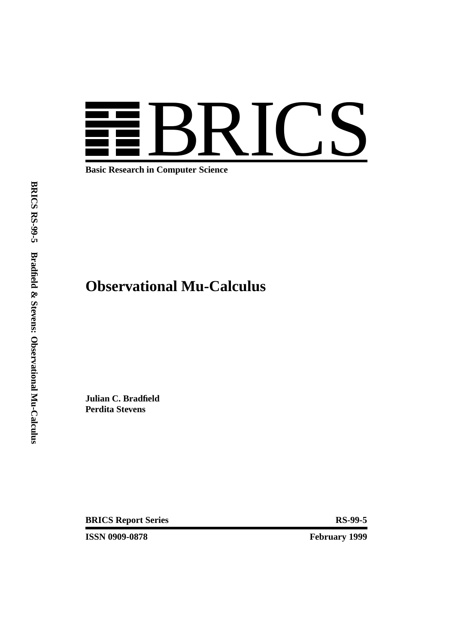

**Basic Research in Computer Science**

# **Observational Mu-Calculus**

**Julian C. Bradfield Perdita Stevens**

**BRICS Report Series RS-99-5** 

**ISSN 0909-0878 February 1999**

**BRICS RS-99-5 Bradfield & Stevens: Observational Mu-Calculus**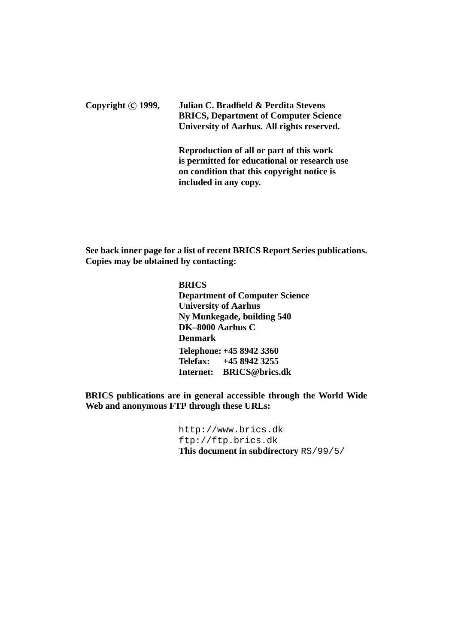**Copyright c 1999, Julian C. Bradfield & Perdita Stevens BRICS, Department of Computer Science University of Aarhus. All rights reserved.**

> **Reproduction of all or part of this work is permitted for educational or research use on condition that this copyright notice is included in any copy.**

**See back inner page for a list of recent BRICS Report Series publications. Copies may be obtained by contacting:**

> **BRICS Department of Computer Science University of Aarhus Ny Munkegade, building 540 DK–8000 Aarhus C Denmark Telephone: +45 8942 3360 Telefax: +45 8942 3255 Internet: BRICS@brics.dk**

**BRICS publications are in general accessible through the World Wide Web and anonymous FTP through these URLs:**

> http://www.brics.dk ftp://ftp.brics.dk **This document in subdirectory** RS/99/5/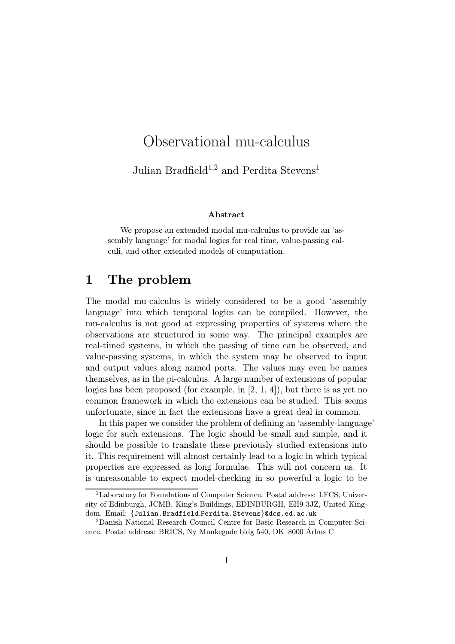# Observational mu-calculus

Julian Bradfield<sup>1,2</sup> and Perdita Stevens<sup>1</sup>

#### Abstract

We propose an extended modal mu-calculus to provide an 'assembly language' for modal logics for real time, value-passing calculi, and other extended models of computation.

## 1 The problem

The modal mu-calculus is widely considered to be a good 'assembly language' into which temporal logics can be compiled. However, the mu-calculus is not good at expressing properties of systems where the observations are structured in some way. The principal examples are real-timed systems, in which the passing of time can be observed, and value-passing systems, in which the system may be observed to input and output values along named ports. The values may even be names themselves, as in the pi-calculus. A large number of extensions of popular logics has been proposed (for example, in [2, 1, 4]), but there is as yet no common framework in which the extensions can be studied. This seems unfortunate, since in fact the extensions have a great deal in common.

In this paper we consider the problem of defining an 'assembly-language' logic for such extensions. The logic should be small and simple, and it should be possible to translate these previously studied extensions into it. This requirement will almost certainly lead to a logic in which typical properties are expressed as long formulae. This will not concern us. It is unreasonable to expect model-checking in so powerful a logic to be

<sup>1</sup>Laboratory for Foundations of Computer Science. Postal address: LFCS, University of Edinburgh, JCMB, King's Buildings, EDINBURGH, EH9 3JZ, United Kingdom. Email: {Julian.Bradfield,Perdita.Stevens}@dcs.ed.ac.uk

<sup>2</sup>Danish National Research Council Centre for Basic Research in Computer Science. Postal address: BRICS, Ny Munkegade bldg 540, DK–8000 Århus C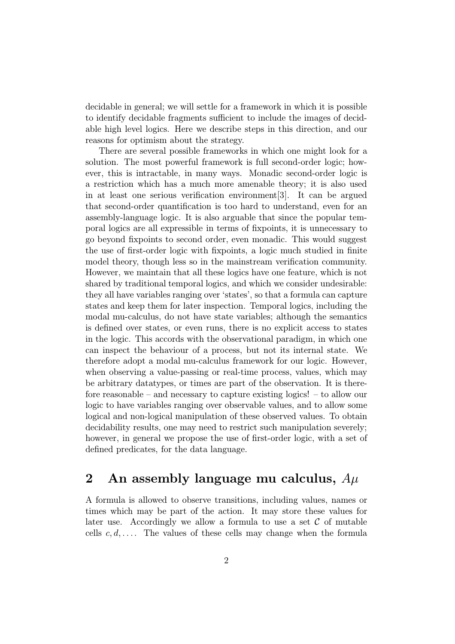decidable in general; we will settle for a framework in which it is possible to identify decidable fragments sufficient to include the images of decidable high level logics. Here we describe steps in this direction, and our reasons for optimism about the strategy.

There are several possible frameworks in which one might look for a solution. The most powerful framework is full second-order logic; however, this is intractable, in many ways. Monadic second-order logic is a restriction which has a much more amenable theory; it is also used in at least one serious verification environment[3]. It can be argued that second-order quantification is too hard to understand, even for an assembly-language logic. It is also arguable that since the popular temporal logics are all expressible in terms of fixpoints, it is unnecessary to go beyond fixpoints to second order, even monadic. This would suggest the use of first-order logic with fixpoints, a logic much studied in finite model theory, though less so in the mainstream verification community. However, we maintain that all these logics have one feature, which is not shared by traditional temporal logics, and which we consider undesirable: they all have variables ranging over 'states', so that a formula can capture states and keep them for later inspection. Temporal logics, including the modal mu-calculus, do not have state variables; although the semantics is defined over states, or even runs, there is no explicit access to states in the logic. This accords with the observational paradigm, in which one can inspect the behaviour of a process, but not its internal state. We therefore adopt a modal mu-calculus framework for our logic. However, when observing a value-passing or real-time process, values, which may be arbitrary datatypes, or times are part of the observation. It is therefore reasonable – and necessary to capture existing logics! – to allow our logic to have variables ranging over observable values, and to allow some logical and non-logical manipulation of these observed values. To obtain decidability results, one may need to restrict such manipulation severely; however, in general we propose the use of first-order logic, with a set of defined predicates, for the data language.

# 2 An assembly language mu calculus,  $A\mu$

A formula is allowed to observe transitions, including values, names or times which may be part of the action. It may store these values for later use. Accordingly we allow a formula to use a set  $\mathcal C$  of mutable cells  $c, d, \ldots$ . The values of these cells may change when the formula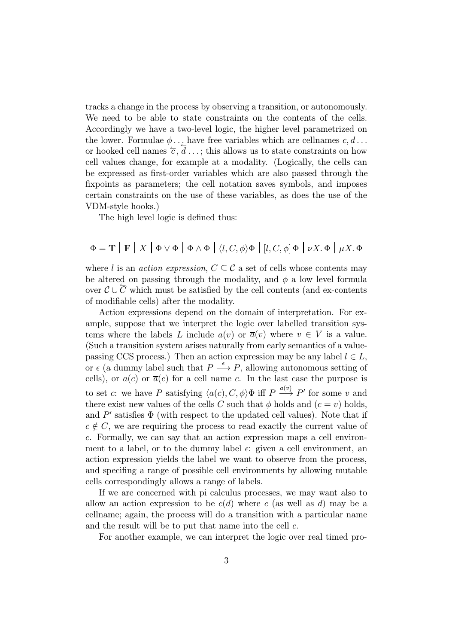tracks a change in the process by observing a transition, or autonomously. We need to be able to state constraints on the contents of the cells. Accordingly we have a two-level logic, the higher level parametrized on the lower. Formulae  $\phi$ ... have free variables which are cellnames  $c, d$ ... or hooked cell names  $\overline{c}$ ,  $\overline{d}$ ...; this allows us to state constraints on how cell values change, for example at a modality. (Logically, the cells can be expressed as first-order variables which are also passed through the fixpoints as parameters; the cell notation saves symbols, and imposes certain constraints on the use of these variables, as does the use of the VDM-style hooks.)

The high level logic is defined thus:

$$
\Phi = \mathbf{T} | \mathbf{F} | X | \Phi \vee \Phi | \Phi \wedge \Phi | \langle l, C, \phi \rangle \Phi | [l, C, \phi] \Phi | \nu X. \Phi | \mu X. \Phi
$$

where l is an *action expression*,  $C \subseteq \mathcal{C}$  a set of cells whose contents may be altered on passing through the modality, and  $\phi$  a low level formula over  $\mathcal{C} \cup \overline{\mathcal{C}}$  which must be satisfied by the cell contents (and ex-contents of modifiable cells) after the modality.

Action expressions depend on the domain of interpretation. For example, suppose that we interpret the logic over labelled transition systems where the labels L include  $a(v)$  or  $\overline{a}(v)$  where  $v \in V$  is a value. (Such a transition system arises naturally from early semantics of a valuepassing CCS process.) Then an action expression may be any label  $l \in L$ , or  $\epsilon$  (a dummy label such that  $P \stackrel{\epsilon}{\longrightarrow} P$ , allowing autonomous setting of cells), or  $a(c)$  or  $\overline{a}(c)$  for a cell name c. In the last case the purpose is to set c: we have P satisfying  $\langle a(c), C, \phi \rangle \Phi$  iff P  $\xrightarrow{a(v)} P'$  for some v and there exist new values of the cells C such that  $\phi$  holds and  $(c = v)$  holds, and  $P'$  satisfies  $\Phi$  (with respect to the updated cell values). Note that if  $c \notin C$ , we are requiring the process to read exactly the current value of c. Formally, we can say that an action expression maps a cell environment to a label, or to the dummy label  $\epsilon$ : given a cell environment, an action expression yields the label we want to observe from the process, and specifing a range of possible cell environments by allowing mutable cells correspondingly allows a range of labels.

If we are concerned with pi calculus processes, we may want also to allow an action expression to be  $c(d)$  where c (as well as d) may be a cellname; again, the process will do a transition with a particular name and the result will be to put that name into the cell c.

For another example, we can interpret the logic over real timed pro-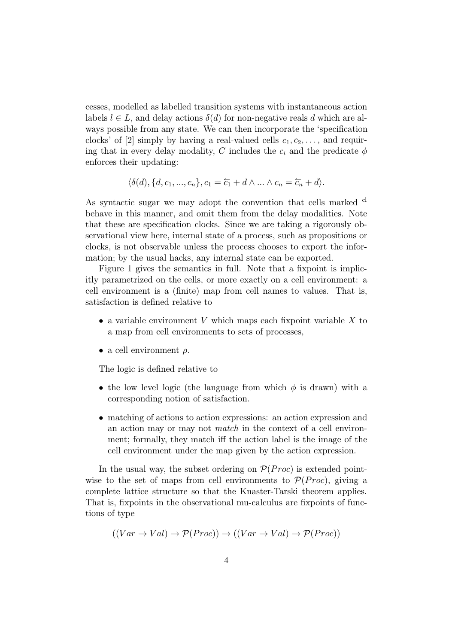cesses, modelled as labelled transition systems with instantaneous action labels  $l \in L$ , and delay actions  $\delta(d)$  for non-negative reals d which are always possible from any state. We can then incorporate the 'specification clocks' of [2] simply by having a real-valued cells  $c_1, c_2, \ldots$ , and requiring that in every delay modality, C includes the  $c_i$  and the predicate  $\phi$ enforces their updating:

$$
\langle \delta(d), \{d, c_1, ..., c_n\}, c_1 = \overleftarrow{c_1} + d \wedge ... \wedge c_n = \overleftarrow{c_n} + d \rangle.
$$

As syntactic sugar we may adopt the convention that cells marked  $\alpha$ behave in this manner, and omit them from the delay modalities. Note that these are specification clocks. Since we are taking a rigorously observational view here, internal state of a process, such as propositions or clocks, is not observable unless the process chooses to export the information; by the usual hacks, any internal state can be exported.

Figure 1 gives the semantics in full. Note that a fixpoint is implicitly parametrized on the cells, or more exactly on a cell environment: a cell environment is a (finite) map from cell names to values. That is, satisfaction is defined relative to

- a variable environment V which maps each fixpoint variable  $X$  to a map from cell environments to sets of processes,
- a cell environment  $\rho$ .

The logic is defined relative to

- the low level logic (the language from which  $\phi$  is drawn) with a corresponding notion of satisfaction.
- matching of actions to action expressions: an action expression and an action may or may not match in the context of a cell environment; formally, they match iff the action label is the image of the cell environment under the map given by the action expression.

In the usual way, the subset ordering on  $\mathcal{P}(Proc)$  is extended pointwise to the set of maps from cell environments to  $\mathcal{P}(Proc)$ , giving a complete lattice structure so that the Knaster-Tarski theorem applies. That is, fixpoints in the observational mu-calculus are fixpoints of functions of type

$$
((Var \to Val) \to \mathcal{P}(Proc)) \to ((Var \to Val) \to \mathcal{P}(Proc))
$$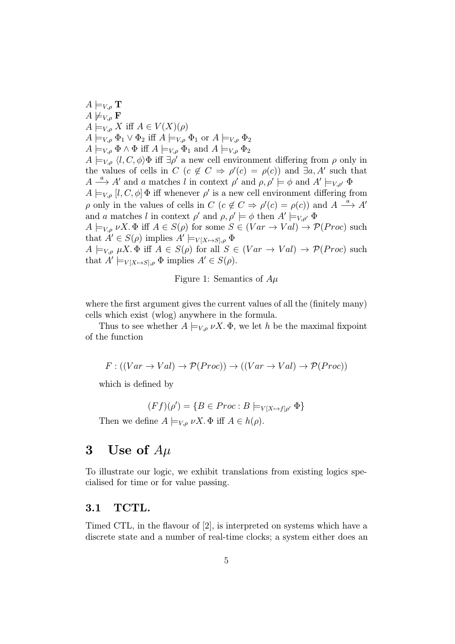$A \models_{V,o} \mathbf{T}$  $A \not\models_{V,\rho} \mathbf{F}$  $A \models_{V,\rho} X$  iff  $A \in V(X)(\rho)$  $A \models_{V,o} \Phi_1 \vee \Phi_2$  iff  $A \models_{V,o} \Phi_1$  or  $A \models_{V,o} \Phi_2$  $A \models_{V,\rho} \Phi \wedge \Phi$  iff  $A \models_{V,\rho} \Phi_1$  and  $A \models_{V,\rho} \Phi_2$  $A \models_{V,\rho} \langle l, C, \phi \rangle$  iff  $\exists \rho'$  a new cell environment differing from  $\rho$  only in the values of cells in  $C$   $(c \notin C \Rightarrow \rho'(c) = \rho(c))$  and  $\exists a, A'$  such that  $A \stackrel{a}{\longrightarrow} A'$  and a matches l in context  $\rho'$  and  $\rho, \rho' \models \phi$  and  $A' \models_{V, \rho'} \Phi$  $A \models_{V,\rho} [l, C, \phi] \Phi$  iff whenever  $\rho'$  is a new cell environment differing from  $\rho$  only in the values of cells in  $C$   $(c \notin C \Rightarrow \rho'(c) = \rho(c))$  and  $A \stackrel{a}{\longrightarrow} A'$ and a matches l in context  $\rho'$  and  $\rho, \rho' \models \phi$  then  $A' \models_{V,\rho'} \Phi$  $A \models_{V,\rho} \nu X. \Phi$  iff  $A \in S(\rho)$  for some  $S \in (Var \to Val) \to \mathcal{P}(Proc)$  such that  $A' \in S(\rho)$  implies  $A' \models_{V[X \mapsto S], \rho} \Phi$  $A \models_{V,\rho} \mu X.\Phi \text{ iff } A \in S(\rho) \text{ for all } S \in (Var \rightarrow Val) \rightarrow \mathcal{P}(Proc) \text{ such}$ that  $A' \models_{V[X \mapsto S], \rho} \Phi$  implies  $A' \in S(\rho)$ .

Figure 1: Semantics of  $A\mu$ 

where the first argument gives the current values of all the (finitely many) cells which exist (wlog) anywhere in the formula.

Thus to see whether  $A \models_{V,\rho} \nu X$ .  $\Phi$ , we let h be the maximal fixpoint of the function

$$
F: ((Var \to Val) \to \mathcal{P}(Proc)) \to ((Var \to Val) \to \mathcal{P}(Proc))
$$

which is defined by

$$
(Ff)(\rho') = \{ B \in Proc : B \models_{V[X \mapsto f]\rho'} \Phi \}
$$

Then we define  $A \models_{V,\rho} \nu X$ .  $\Phi$  iff  $A \in h(\rho)$ .

## 3 Use of  $A\mu$

To illustrate our logic, we exhibit translations from existing logics specialised for time or for value passing.

### 3.1 TCTL.

Timed CTL, in the flavour of [2], is interpreted on systems which have a discrete state and a number of real-time clocks; a system either does an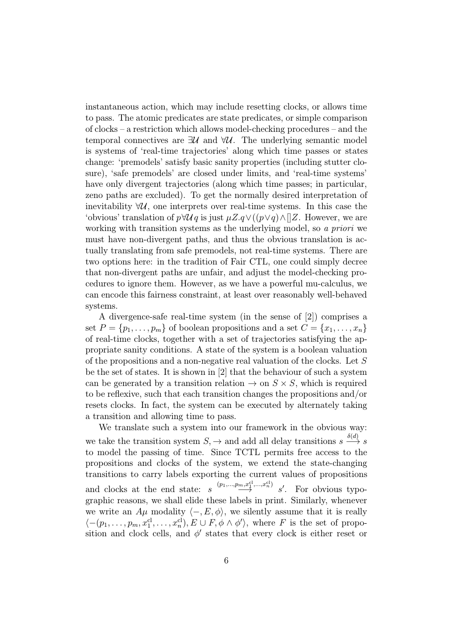instantaneous action, which may include resetting clocks, or allows time to pass. The atomic predicates are state predicates, or simple comparison of clocks – a restriction which allows model-checking procedures – and the temporal connectives are  $\exists U$  and  $\forall U$ . The underlying semantic model is systems of 'real-time trajectories' along which time passes or states change: 'premodels' satisfy basic sanity properties (including stutter closure), 'safe premodels' are closed under limits, and 'real-time systems' have only divergent trajectories (along which time passes; in particular, zeno paths are excluded). To get the normally desired interpretation of inevitability  $\forall U$ , one interprets over real-time systems. In this case the 'obvious' translation of  $p \forall \mathcal{U} q$  is just  $\mu Z.q \vee ((p \vee q) \wedge ||Z$ . However, we are working with transition systems as the underlying model, so a priori we must have non-divergent paths, and thus the obvious translation is actually translating from safe premodels, not real-time systems. There are two options here: in the tradition of Fair CTL, one could simply decree that non-divergent paths are unfair, and adjust the model-checking procedures to ignore them. However, as we have a powerful mu-calculus, we can encode this fairness constraint, at least over reasonably well-behaved systems.

A divergence-safe real-time system (in the sense of [2]) comprises a set  $P = \{p_1, \ldots, p_m\}$  of boolean propositions and a set  $C = \{x_1, \ldots, x_n\}$ of real-time clocks, together with a set of trajectories satisfying the appropriate sanity conditions. A state of the system is a boolean valuation of the propositions and a non-negative real valuation of the clocks. Let S be the set of states. It is shown in [2] that the behaviour of such a system can be generated by a transition relation  $\rightarrow$  on  $S \times S$ , which is required to be reflexive, such that each transition changes the propositions and/or resets clocks. In fact, the system can be executed by alternately taking a transition and allowing time to pass.

We translate such a system into our framework in the obvious way: we take the transition system  $S \rightarrow$  and add all delay transitions  $s \stackrel{\delta(d)}{\longrightarrow} s$ to model the passing of time. Since TCTL permits free access to the propositions and clocks of the system, we extend the state-changing transitions to carry labels exporting the current values of propositions and clocks at the end state:  $s \xrightarrow{(p_1,...,p_m,x_1^{cl},...,x_n^{cl})} s'$ . For obvious typographic reasons, we shall elide these labels in print. Similarly, whenever we write an  $A\mu$  modality  $\langle -, E, \phi \rangle$ , we silently assume that it is really  $\langle -(p_1,\ldots,p_m,x_1^{\text{cl}},\ldots,x_n^{\text{cl}}), E \cup F, \phi \wedge \phi' \rangle$ , where F is the set of proposition and clock cells, and  $\phi'$  states that every clock is either reset or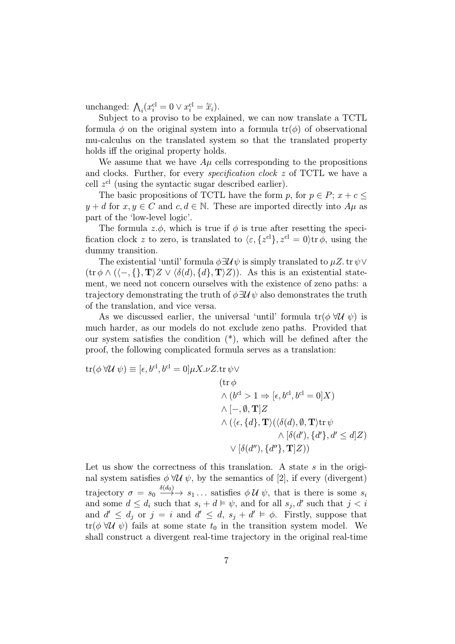unchanged:  $\bigwedge_i (x_i^{\text{cl}} = 0 \vee x_i^{\text{cl}} = \overleftarrow{x_i}).$ 

Subject to a proviso to be explained, we can now translate a TCTL formula  $\phi$  on the original system into a formula  $tr(\phi)$  of observational mu-calculus on the translated system so that the translated property holds iff the original property holds.

We assume that we have  $A\mu$  cells corresponding to the propositions and clocks. Further, for every specification clock z of TCTL we have a cell  $z^{cl}$  (using the syntactic sugar described earlier).

The basic propositions of TCTL have the form p, for  $p \in P$ ;  $x + c \leq$  $y + d$  for  $x, y \in C$  and  $c, d \in \mathbb{N}$ . These are imported directly into  $A\mu$  as part of the 'low-level logic'.

The formula  $z.\phi$ , which is true if  $\phi$  is true after resetting the specification clock z to zero, is translated to  $\langle \varepsilon, \{z^{cl}\}, z^{cl} = 0 \rangle$ tr  $\phi$ , using the dummy transition.

The existential 'until' formula  $\phi \exists \mathcal{U} \psi$  is simply translated to  $\mu Z$ . tr $\psi \vee \psi$  $(\text{tr } \phi \wedge (\langle -, \{\}, \mathbf{T}\rangle Z \vee \langle \delta(d), \{d\}, \mathbf{T}\rangle Z))$ . As this is an existential statement, we need not concern ourselves with the existence of zeno paths: a trajectory demonstrating the truth of  $\phi \exists \mathcal{U} \psi$  also demonstrates the truth of the translation, and vice versa.

As we discussed earlier, the universal 'until' formula  $tr(\phi \forall U \psi)$  is much harder, as our models do not exclude zeno paths. Provided that our system satisfies the condition (\*), which will be defined after the proof, the following complicated formula serves as a translation:

$$
\operatorname{tr}(\phi \,\forall \mathcal{U} \,\psi) \equiv [\epsilon, b^{\mathrm{cl}}, b^{\mathrm{cl}} = 0] \mu X. \nu Z. \operatorname{tr} \psi \vee
$$
\n
$$
(\operatorname{tr} \phi \wedge (b^{\mathrm{cl}} > 1 \Rightarrow [\epsilon, b^{\mathrm{cl}}, b^{\mathrm{cl}} = 0]X)
$$
\n
$$
\wedge [-, \emptyset, \mathbf{T}]Z
$$
\n
$$
\wedge (\langle \epsilon, \{d\}, \mathbf{T} \rangle (\langle \delta(d), \emptyset, \mathbf{T} \rangle \operatorname{tr} \psi \wedge [\delta(d'), \{d'\}, d' \le d]Z)
$$
\n
$$
\vee [\delta(d''), \{d''\}, \mathbf{T}]Z))
$$

Let us show the correctness of this translation. A state  $s$  in the original system satisfies  $\phi \forall \mathcal{U} \psi$ , by the semantics of [2], if every (divergent) trajectory  $\sigma = s_0 \stackrel{\delta(d_0)}{\longrightarrow} s_1 \dots$  satisfies  $\phi \mathcal{U} \psi$ , that is there is some  $s_i$ and some  $d \leq d_i$  such that  $s_i + d \vDash \psi$ , and for all  $s_j, d'$  such that  $j < i$ and  $d' \leq d_i$  or  $j = i$  and  $d' \leq d$ ,  $s_i + d' \vDash \phi$ . Firstly, suppose that  $tr(\phi \forall U \psi)$  fails at some state  $t_0$  in the transition system model. We shall construct a divergent real-time trajectory in the original real-time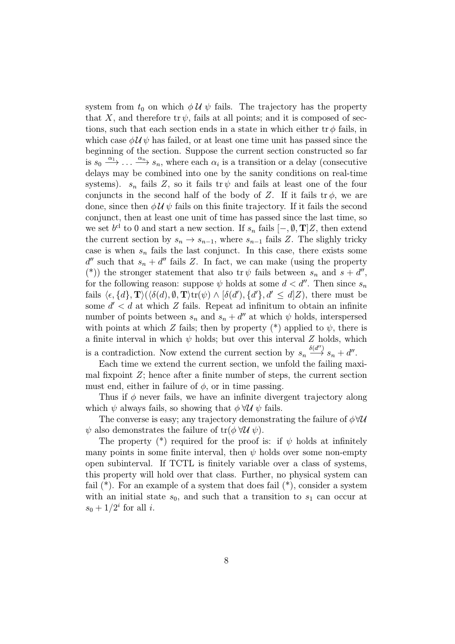system from  $t_0$  on which  $\phi \mathcal{U} \psi$  fails. The trajectory has the property that X, and therefore tr  $\psi$ , fails at all points; and it is composed of sections, such that each section ends in a state in which either  $tr \phi$  fails, in which case  $\phi \mathcal{U} \psi$  has failed, or at least one time unit has passed since the beginning of the section. Suppose the current section constructed so far is  $s_0 \stackrel{\alpha_1}{\longrightarrow} \ldots \stackrel{\alpha_n}{\longrightarrow} s_n$ , where each  $\alpha_i$  is a transition or a delay (consecutive delays may be combined into one by the sanity conditions on real-time systems).  $s_n$  fails Z, so it fails tr  $\psi$  and fails at least one of the four conjuncts in the second half of the body of Z. If it fails  $tr \phi$ , we are done, since then  $\phi \mathcal{U} \psi$  fails on this finite trajectory. If it fails the second conjunct, then at least one unit of time has passed since the last time, so we set  $b^{cl}$  to 0 and start a new section. If  $s_n$  fails  $[-, \emptyset, T]Z$ , then extend the current section by  $s_n \to s_{n-1}$ , where  $s_{n-1}$  fails Z. The slighly tricky case is when  $s_n$  fails the last conjunct. In this case, there exists some  $d''$  such that  $s_n + d''$  fails Z. In fact, we can make (using the property (\*)) the stronger statement that also tr  $\psi$  fails between  $s_n$  and  $s + d''$ , for the following reason: suppose  $\psi$  holds at some  $d < d''$ . Then since  $s_n$ fails  $\langle \epsilon, \{d\}, \mathbf{T} \rangle (\langle \delta(d), \emptyset, \mathbf{T} \rangle \text{tr}(\psi) \wedge [\delta(d'), \{d'\}, d' \le d]Z)$ , there must be some  $d' < d$  at which Z fails. Repeat ad infinitum to obtain an infinite number of points between  $s_n$  and  $s_n + d''$  at which  $\psi$  holds, interspersed with points at which Z fails; then by property  $(*)$  applied to  $\psi$ , there is a finite interval in which  $\psi$  holds; but over this interval  $Z$  holds, which is a contradiction. Now extend the current section by  $s_n \stackrel{\delta(d'')}{\longrightarrow} s_n + d''$ .

Each time we extend the current section, we unfold the failing maximal fixpoint  $Z$ ; hence after a finite number of steps, the current section must end, either in failure of  $\phi$ , or in time passing.

Thus if  $\phi$  never fails, we have an infinite divergent trajectory along which  $\psi$  always fails, so showing that  $\phi \forall \mathcal{U} \psi$  fails.

The converse is easy; any trajectory demonstrating the failure of  $\phi \forall \mathcal{U}$  $\psi$  also demonstrates the failure of tr( $\phi \forall \mathcal{U} \psi$ ).

The property  $(*)$  required for the proof is: if  $\psi$  holds at infinitely many points in some finite interval, then  $\psi$  holds over some non-empty open subinterval. If TCTL is finitely variable over a class of systems, this property will hold over that class. Further, no physical system can fail  $(*)$ . For an example of a system that does fail  $(*)$ , consider a system with an initial state  $s_0$ , and such that a transition to  $s_1$  can occur at  $s_0 + 1/2^i$  for all i.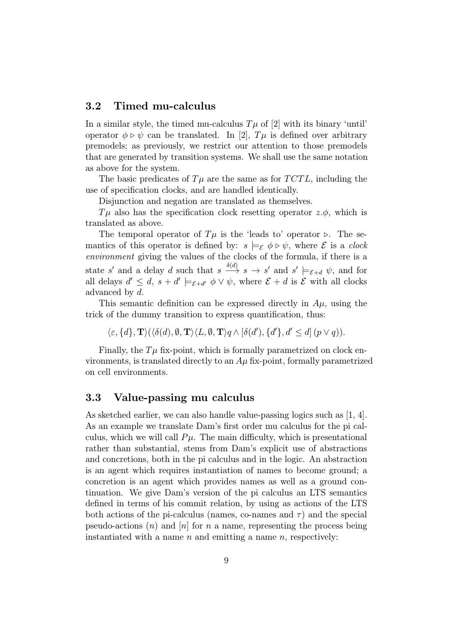#### 3.2 Timed mu-calculus

In a similar style, the timed mu-calculus  $T\mu$  of [2] with its binary 'until' operator  $\phi \triangleright \psi$  can be translated. In [2],  $T\mu$  is defined over arbitrary premodels; as previously, we restrict our attention to those premodels that are generated by transition systems. We shall use the same notation as above for the system.

The basic predicates of  $T\mu$  are the same as for  $TCTL$ , including the use of specification clocks, and are handled identically.

Disjunction and negation are translated as themselves.

 $T\mu$  also has the specification clock resetting operator  $z.\phi$ , which is translated as above.

The temporal operator of  $T\mu$  is the 'leads to' operator  $\triangleright$ . The semantics of this operator is defined by:  $s \models_{\mathcal{E}} \phi \triangleright \psi$ , where  $\mathcal E$  is a clock environment giving the values of the clocks of the formula, if there is a state s' and a delay d such that  $s \stackrel{\delta(d)}{\longrightarrow} s \longrightarrow s'$  and  $s' \models_{\mathcal{E}+d} \psi$ , and for all delays  $d' \leq d$ ,  $s + d' \models_{\mathcal{E} + d'} \phi \vee \psi$ , where  $\mathcal{E} + d$  is  $\mathcal{E}$  with all clocks advanced by d.

This semantic definition can be expressed directly in  $A\mu$ , using the trick of the dummy transition to express quantification, thus:

 $\langle \varepsilon, \{d\}, \mathbf{T} \rangle (\langle \delta(d), \emptyset, \mathbf{T} \rangle \langle L, \emptyset, \mathbf{T} \rangle q \wedge [\delta(d'), \{d'\}, d' \leq d](p \vee q)).$ 

Finally, the  $T\mu$  fix-point, which is formally parametrized on clock environments, is translated directly to an  $A\mu$  fix-point, formally parametrized on cell environments.

### 3.3 Value-passing mu calculus

As sketched earlier, we can also handle value-passing logics such as [1, 4]. As an example we translate Dam's first order mu calculus for the pi calculus, which we will call  $P\mu$ . The main difficulty, which is presentational rather than substantial, stems from Dam's explicit use of abstractions and concretions, both in the pi calculus and in the logic. An abstraction is an agent which requires instantiation of names to become ground; a concretion is an agent which provides names as well as a ground continuation. We give Dam's version of the pi calculus an LTS semantics defined in terms of his commit relation, by using as actions of the LTS both actions of the pi-calculus (names, co-names and  $\tau$ ) and the special pseudo-actions  $(n)$  and  $[n]$  for n a name, representing the process being instantiated with a name  $n$  and emitting a name  $n$ , respectively: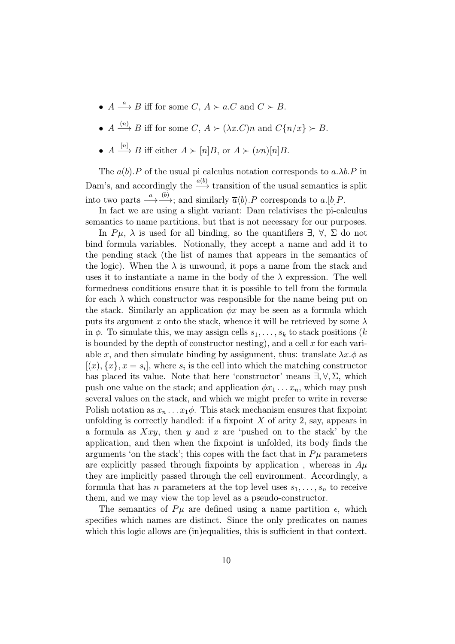- $A \stackrel{a}{\longrightarrow} B$  iff for some  $C, A \succ a.C$  and  $C \succ B$ .
- $A \xrightarrow{(n)} B$  iff for some  $C, A \succ (\lambda x.C)n$  and  $C\{n/x\} \succ B$ .
- $A \stackrel{[n]}{\longrightarrow} B$  iff either  $A \succ [n]B$ , or  $A \succ (vn)[n]B$ .

The  $a(b)$ . P of the usual pi calculus notation corresponds to  $a.\lambda b$ . P in Dam's, and accordingly the  $\stackrel{a(b)}{\longrightarrow}$  transition of the usual semantics is split into two parts  $\stackrel{a}{\longrightarrow} \stackrel{(b)}{\longrightarrow}$ ; and similarly  $\overline{a}\langle b \rangle$ . P corresponds to a.[b]P.

In fact we are using a slight variant: Dam relativises the pi-calculus semantics to name partitions, but that is not necessary for our purposes.

In  $P\mu$ ,  $\lambda$  is used for all binding, so the quantifiers  $\exists$ ,  $\forall$ ,  $\Sigma$  do not bind formula variables. Notionally, they accept a name and add it to the pending stack (the list of names that appears in the semantics of the logic). When the  $\lambda$  is unwound, it pops a name from the stack and uses it to instantiate a name in the body of the  $\lambda$  expression. The well formedness conditions ensure that it is possible to tell from the formula for each  $\lambda$  which constructor was responsible for the name being put on the stack. Similarly an application  $\phi x$  may be seen as a formula which puts its argument x onto the stack, whence it will be retrieved by some  $\lambda$ in  $\phi$ . To simulate this, we may assign cells  $s_1, \ldots, s_k$  to stack positions (k is bounded by the depth of constructor nesting), and a cell  $x$  for each variable x, and then simulate binding by assignment, thus: translate  $\lambda x.\phi$  as  $[(x), {x}, x = s_i]$ , where  $s_i$  is the cell into which the matching constructor has placed its value. Note that here 'constructor' means  $\exists, \forall, \Sigma$ , which push one value on the stack; and application  $\phi x_1 \ldots x_n$ , which may push several values on the stack, and which we might prefer to write in reverse Polish notation as  $x_n \n\t\dots x_1 \phi$ . This stack mechanism ensures that fixpoint unfolding is correctly handled: if a fixpoint  $X$  of arity 2, say, appears in a formula as  $Xxy$ , then y and x are 'pushed on to the stack' by the application, and then when the fixpoint is unfolded, its body finds the arguments 'on the stack'; this copes with the fact that in  $P\mu$  parameters are explicitly passed through fixpoints by application, whereas in  $Au$ they are implicitly passed through the cell environment. Accordingly, a formula that has *n* parameters at the top level uses  $s_1, \ldots, s_n$  to receive them, and we may view the top level as a pseudo-constructor.

The semantics of  $P\mu$  are defined using a name partition  $\epsilon$ , which specifies which names are distinct. Since the only predicates on names which this logic allows are (in)equalities, this is sufficient in that context.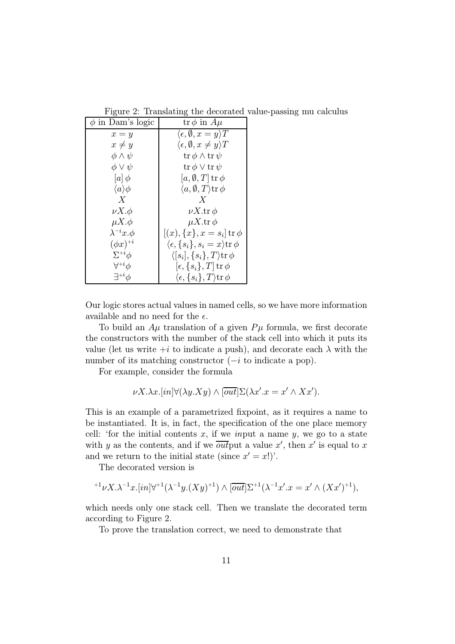| $\phi$ in Dam's logic    | $\operatorname{tr}\phi$ in $A\mu$                            |
|--------------------------|--------------------------------------------------------------|
| $x = y$                  | $\langle \epsilon, \emptyset, x = y \rangle T$               |
| $x \neq y$               | $\langle \epsilon, \emptyset, x \neq y \rangle T$            |
| $\phi \wedge \psi$       | $\operatorname{tr}\phi\wedge\operatorname{tr}\psi$           |
| $\phi \vee \psi$         | $\operatorname{tr}\phi\vee\operatorname{tr}\psi$             |
| $[a] \phi$               | $[a, \emptyset, T]$ tr $\phi$                                |
| $\langle a \rangle \phi$ | $\langle a,\emptyset,T\rangle$ tr $\phi$                     |
| X                        | X                                                            |
| $\nu X.\phi$             | $\nu X$ .tr $\phi$                                           |
| $\mu X.\phi$             | $\mu X$ .tr $\phi$                                           |
| $\lambda^{-i}x.\phi$     | $[(x), \{x\}, x = s_i]$ tr $\phi$                            |
| $(\phi x)^{+i}$          | $\langle \epsilon, \{s_i\}, s_i = x \rangle \text{tr } \phi$ |
| $\Sigma^{+i}\phi$        | $\langle [s_i], \{s_i\}, T \rangle \text{tr } \phi$          |
| $\forall^{+i}\phi$       | $[\epsilon, \{s_i\}, T]$ tr $\phi$                           |
| $\exists^{+i}\phi$       | $\langle \epsilon, \{s_i\}, T \rangle \text{tr}\, \phi$      |

Figure 2: Translating the decorated value-passing mu calculus

Our logic stores actual values in named cells, so we have more information available and no need for the  $\epsilon$ .

To build an  $A\mu$  translation of a given  $P\mu$  formula, we first decorate the constructors with the number of the stack cell into which it puts its value (let us write  $+i$  to indicate a push), and decorate each  $\lambda$  with the number of its matching constructor  $(-i \text{ to indicate a pop}).$ 

For example, consider the formula

$$
\nu X.\lambda x.[in]\forall(\lambda y.Xy)\wedge[\overline{out}]\Sigma(\lambda x'.x=x'\wedge Xx').
$$

This is an example of a parametrized fixpoint, as it requires a name to be instantiated. It is, in fact, the specification of the one place memory cell: 'for the initial contents x, if we input a name y, we go to a state with y as the contents, and if we  $\overline{out}$  put a value x', then x' is equal to x and we return to the initial state (since  $x' = x!$ ).

The decorated version is

$$
{}^{+1}\nu X.\lambda^{-1}x.[in]\forall {}^{+1}(\lambda^{-1}y.(Xy)^{+1})\wedge[\overline{out}]\Sigma^{+1}(\lambda^{-1}x'.x=x'\wedge (Xx')^{+1}),
$$

which needs only one stack cell. Then we translate the decorated term according to Figure 2.

To prove the translation correct, we need to demonstrate that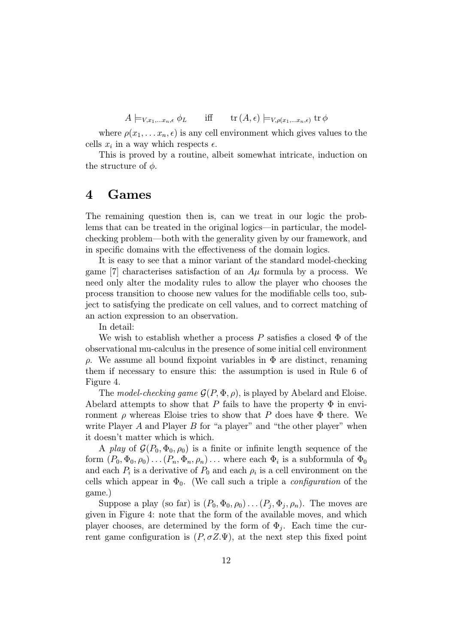$A \models_{V,x_1,...x_n,\epsilon} \phi_L$  iff  $\text{tr}(A,\epsilon) \models_{V,\rho(x_1,...x_n,\epsilon)} \text{tr}\,\phi$ 

where  $\rho(x_1,\ldots,x_n,\epsilon)$  is any cell environment which gives values to the cells  $x_i$  in a way which respects  $\epsilon$ .

This is proved by a routine, albeit somewhat intricate, induction on the structure of  $\phi$ .

## 4 Games

The remaining question then is, can we treat in our logic the problems that can be treated in the original logics—in particular, the modelchecking problem—both with the generality given by our framework, and in specific domains with the effectiveness of the domain logics.

It is easy to see that a minor variant of the standard model-checking game [7] characterises satisfaction of an  $A\mu$  formula by a process. We need only alter the modality rules to allow the player who chooses the process transition to choose new values for the modifiable cells too, subject to satisfying the predicate on cell values, and to correct matching of an action expression to an observation.

In detail:

We wish to establish whether a process  $P$  satisfies a closed  $\Phi$  of the observational mu-calculus in the presence of some initial cell environment ρ. We assume all bound fixpoint variables in Φ are distinct, renaming them if necessary to ensure this: the assumption is used in Rule 6 of Figure 4.

The model-checking game  $\mathcal{G}(P, \Phi, \rho)$ , is played by Abelard and Eloise. Abelard attempts to show that P fails to have the property  $\Phi$  in environment  $\rho$  whereas Eloise tries to show that P does have  $\Phi$  there. We write Player  $A$  and Player  $B$  for "a player" and "the other player" when it doesn't matter which is which.

A play of  $\mathcal{G}(P_0, \Phi_0, \rho_0)$  is a finite or infinite length sequence of the form  $(P_0, \Phi_0, \rho_0) \dots (P_n, \Phi_n, \rho_n) \dots$  where each  $\Phi_i$  is a subformula of  $\Phi_0$ and each  $P_i$  is a derivative of  $P_0$  and each  $\rho_i$  is a cell environment on the cells which appear in  $\Phi_0$ . (We call such a triple a *configuration* of the game.)

Suppose a play (so far) is  $(P_0, \Phi_0, \rho_0) \dots (P_i, \Phi_i, \rho_n)$ . The moves are given in Figure 4: note that the form of the available moves, and which player chooses, are determined by the form of  $\Phi_i$ . Each time the current game configuration is  $(P, \sigma Z.\Psi)$ , at the next step this fixed point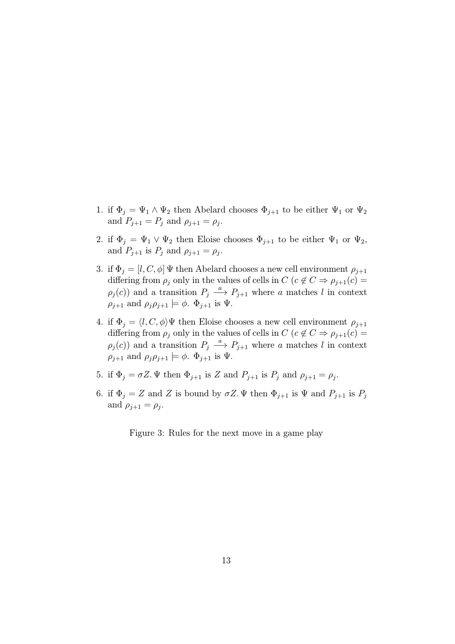- 1. if  $\Phi_j = \Psi_1 \wedge \Psi_2$  then Abelard chooses  $\Phi_{j+1}$  to be either  $\Psi_1$  or  $\Psi_2$ and  $P_{j+1} = P_j$  and  $\rho_{j+1} = \rho_j$ .
- 2. if  $\Phi_j = \Psi_1 \vee \Psi_2$  then Eloise chooses  $\Phi_{j+1}$  to be either  $\Psi_1$  or  $\Psi_2$ , and  $P_{j+1}$  is  $P_j$  and  $\rho_{j+1} = \rho_j$ .
- 3. if  $\Phi_i = [l, C, \phi] \Psi$  then Abelard chooses a new cell environment  $\rho_{i+1}$ differing from  $\rho_j$  only in the values of cells in  $C$  ( $c \notin C \Rightarrow \rho_{j+1}(c) =$  $\rho_j(c)$  and a transition  $P_j \stackrel{a}{\longrightarrow} P_{j+1}$  where a matches l in context  $\rho_{j+1}$  and  $\rho_j \rho_{j+1} \models \phi$ .  $\Phi_{j+1}$  is  $\Psi$ .
- 4. if  $\Phi_i = \langle l, C, \phi \rangle \Psi$  then Eloise chooses a new cell environment  $\rho_{i+1}$ differing from  $\rho_j$  only in the values of cells in  $C$  ( $c \notin C \Rightarrow \rho_{j+1}(c) =$  $\rho_j(c)$  and a transition  $P_j \stackrel{a}{\longrightarrow} P_{j+1}$  where a matches l in context  $\rho_{j+1}$  and  $\rho_j \rho_{j+1} \models \phi$ .  $\Phi_{j+1}$  is  $\Psi$ .
- 5. if  $\Phi_i = \sigma Z$ .  $\Psi$  then  $\Phi_{i+1}$  is Z and  $P_{i+1}$  is  $P_i$  and  $\rho_{i+1} = \rho_i$ .
- 6. if  $\Phi_j = Z$  and Z is bound by  $\sigma Z$ .  $\Psi$  then  $\Phi_{j+1}$  is  $\Psi$  and  $P_{j+1}$  is  $P_j$ and  $\rho_{i+1} = \rho_i$ .

Figure 3: Rules for the next move in a game play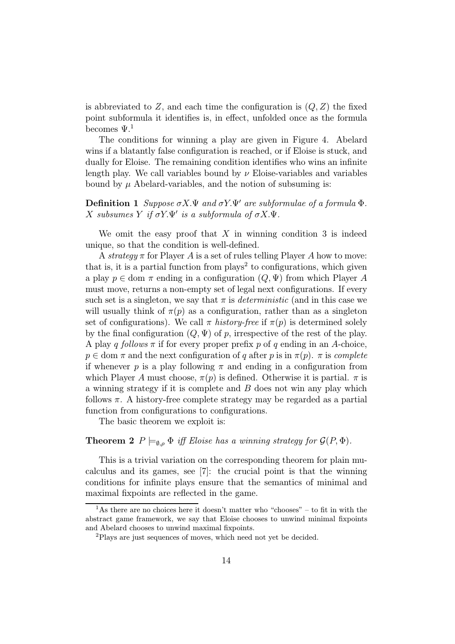is abbreviated to  $Z$ , and each time the configuration is  $(Q, Z)$  the fixed point subformula it identifies is, in effect, unfolded once as the formula becomes  $\Psi$ <sup>1</sup>

The conditions for winning a play are given in Figure 4. Abelard wins if a blatantly false configuration is reached, or if Eloise is stuck, and dually for Eloise. The remaining condition identifies who wins an infinite length play. We call variables bound by  $\nu$  Eloise-variables and variables bound by  $\mu$  Abelard-variables, and the notion of subsuming is:

**Definition 1** Suppose  $\sigma X.\Psi$  and  $\sigma Y.\Psi'$  are subformulae of a formula  $\Phi$ . X subsumes Y if  $\sigma Y \Psi'$  is a subformula of  $\sigma X \Psi$ .

We omit the easy proof that  $X$  in winning condition 3 is indeed unique, so that the condition is well-defined.

A strategy  $\pi$  for Player A is a set of rules telling Player A how to move: that is, it is a partial function from  $\mu$ lays<sup>2</sup> to configurations, which given a play  $p \in \text{dom } \pi$  ending in a configuration  $(Q, \Psi)$  from which Player A must move, returns a non-empty set of legal next configurations. If every such set is a singleton, we say that  $\pi$  is *deterministic* (and in this case we will usually think of  $\pi(p)$  as a configuration, rather than as a singleton set of configurations). We call  $\pi$  history-free if  $\pi(p)$  is determined solely by the final configuration  $(Q, \Psi)$  of p, irrespective of the rest of the play. A play q follows  $\pi$  if for every proper prefix p of q ending in an A-choice,  $p \in \text{dom } \pi$  and the next configuration of q after p is in  $\pi(p)$ .  $\pi$  is complete if whenever p is a play following  $\pi$  and ending in a configuration from which Player A must choose,  $\pi(p)$  is defined. Otherwise it is partial.  $\pi$  is a winning strategy if it is complete and B does not win any play which follows  $\pi$ . A history-free complete strategy may be regarded as a partial function from configurations to configurations.

The basic theorem we exploit is:

#### **Theorem 2**  $P \models_{\emptyset, \rho} \Phi$  iff Eloise has a winning strategy for  $\mathcal{G}(P, \Phi)$ .

This is a trivial variation on the corresponding theorem for plain mucalculus and its games, see [7]: the crucial point is that the winning conditions for infinite plays ensure that the semantics of minimal and maximal fixpoints are reflected in the game.

 $\overline{1}$ As there are no choices here it doesn't matter who "chooses" – to fit in with the abstract game framework, we say that Eloise chooses to unwind minimal fixpoints and Abelard chooses to unwind maximal fixpoints.

<sup>2</sup>Plays are just sequences of moves, which need not yet be decided.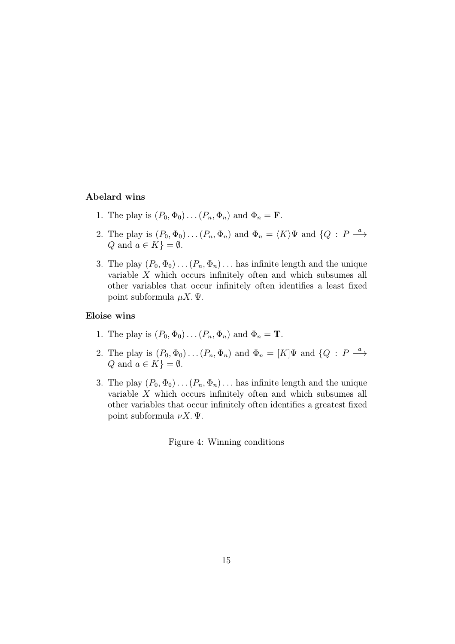#### Abelard wins

- 1. The play is  $(P_0, \Phi_0) \dots (P_n, \Phi_n)$  and  $\Phi_n = \mathbf{F}$ .
- 2. The play is  $(P_0, \Phi_0) \dots (P_n, \Phi_n)$  and  $\Phi_n = \langle K \rangle \Psi$  and  $\{Q : P \stackrel{a}{\longrightarrow} \Phi \}$ Q and  $a \in K$ } =  $\emptyset$ .
- 3. The play  $(P_0, \Phi_0) \dots (P_n, \Phi_n) \dots$  has infinite length and the unique variable X which occurs infinitely often and which subsumes all other variables that occur infinitely often identifies a least fixed point subformula  $\mu X$ . Ψ.

#### Eloise wins

- 1. The play is  $(P_0, \Phi_0) \dots (P_n, \Phi_n)$  and  $\Phi_n = \mathbf{T}$ .
- 2. The play is  $(P_0, \Phi_0) \dots (P_n, \Phi_n)$  and  $\Phi_n = [K]\Psi$  and  $\{Q : P \stackrel{a}{\longrightarrow} \Phi\}$ Q and  $a \in K$ } =  $\emptyset$ .
- 3. The play  $(P_0, \Phi_0) \dots (P_n, \Phi_n) \dots$  has infinite length and the unique variable X which occurs infinitely often and which subsumes all other variables that occur infinitely often identifies a greatest fixed point subformula  $\nu X$ . Ψ.

Figure 4: Winning conditions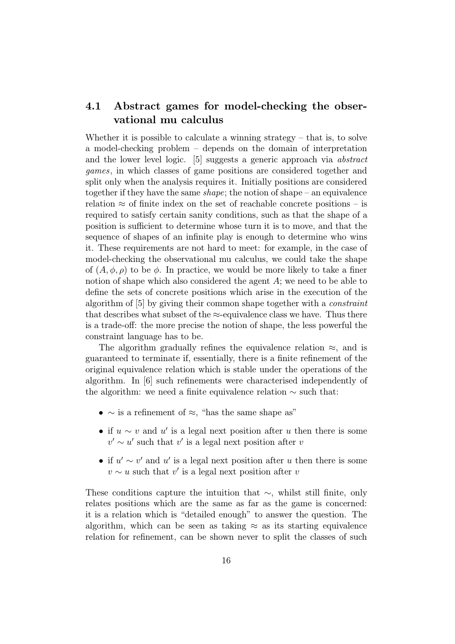## 4.1 Abstract games for model-checking the observational mu calculus

Whether it is possible to calculate a winning strategy  $-$  that is, to solve a model-checking problem – depends on the domain of interpretation and the lower level logic. [5] suggests a generic approach via abstract games, in which classes of game positions are considered together and split only when the analysis requires it. Initially positions are considered together if they have the same *shape*; the notion of shape – an equivalence relation  $\approx$  of finite index on the set of reachable concrete positions – is required to satisfy certain sanity conditions, such as that the shape of a position is sufficient to determine whose turn it is to move, and that the sequence of shapes of an infinite play is enough to determine who wins it. These requirements are not hard to meet: for example, in the case of model-checking the observational mu calculus, we could take the shape of  $(A, \phi, \rho)$  to be  $\phi$ . In practice, we would be more likely to take a finer notion of shape which also considered the agent A; we need to be able to define the sets of concrete positions which arise in the execution of the algorithm of [5] by giving their common shape together with a constraint that describes what subset of the  $\approx$ -equivalence class we have. Thus there is a trade-off: the more precise the notion of shape, the less powerful the constraint language has to be.

The algorithm gradually refines the equivalence relation  $\approx$ , and is guaranteed to terminate if, essentially, there is a finite refinement of the original equivalence relation which is stable under the operations of the algorithm. In [6] such refinements were characterised independently of the algorithm: we need a finite equivalence relation ∼ such that:

- $\sim$  is a refinement of  $\approx$ , "has the same shape as"
- if  $u \sim v$  and u' is a legal next position after u then there is some  $v' \sim u'$  such that v' is a legal next position after v
- if  $u' \sim v'$  and u' is a legal next position after u then there is some  $v \sim u$  such that v' is a legal next position after v

These conditions capture the intuition that  $\sim$ , whilst still finite, only relates positions which are the same as far as the game is concerned: it is a relation which is "detailed enough" to answer the question. The algorithm, which can be seen as taking  $\approx$  as its starting equivalence relation for refinement, can be shown never to split the classes of such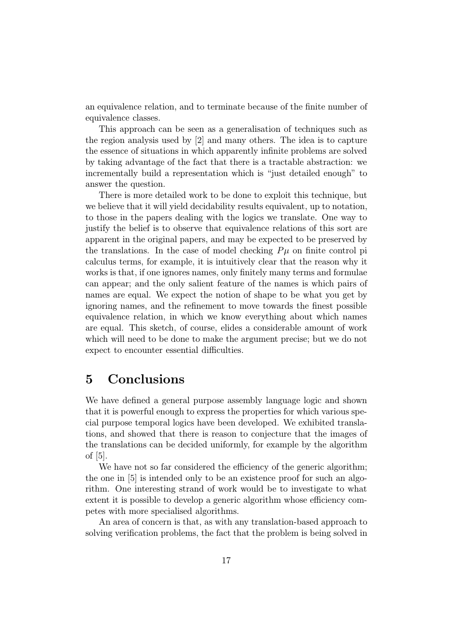an equivalence relation, and to terminate because of the finite number of equivalence classes.

This approach can be seen as a generalisation of techniques such as the region analysis used by [2] and many others. The idea is to capture the essence of situations in which apparently infinite problems are solved by taking advantage of the fact that there is a tractable abstraction: we incrementally build a representation which is "just detailed enough" to answer the question.

There is more detailed work to be done to exploit this technique, but we believe that it will yield decidability results equivalent, up to notation, to those in the papers dealing with the logics we translate. One way to justify the belief is to observe that equivalence relations of this sort are apparent in the original papers, and may be expected to be preserved by the translations. In the case of model checking  $P\mu$  on finite control pi calculus terms, for example, it is intuitively clear that the reason why it works is that, if one ignores names, only finitely many terms and formulae can appear; and the only salient feature of the names is which pairs of names are equal. We expect the notion of shape to be what you get by ignoring names, and the refinement to move towards the finest possible equivalence relation, in which we know everything about which names are equal. This sketch, of course, elides a considerable amount of work which will need to be done to make the argument precise; but we do not expect to encounter essential difficulties.

## 5 Conclusions

We have defined a general purpose assembly language logic and shown that it is powerful enough to express the properties for which various special purpose temporal logics have been developed. We exhibited translations, and showed that there is reason to conjecture that the images of the translations can be decided uniformly, for example by the algorithm of [5].

We have not so far considered the efficiency of the generic algorithm; the one in [5] is intended only to be an existence proof for such an algorithm. One interesting strand of work would be to investigate to what extent it is possible to develop a generic algorithm whose efficiency competes with more specialised algorithms.

An area of concern is that, as with any translation-based approach to solving verification problems, the fact that the problem is being solved in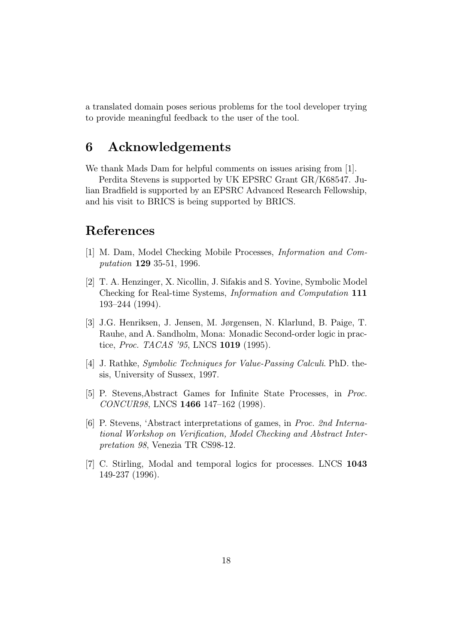a translated domain poses serious problems for the tool developer trying to provide meaningful feedback to the user of the tool.

# 6 Acknowledgements

We thank Mads Dam for helpful comments on issues arising from [1].

Perdita Stevens is supported by UK EPSRC Grant GR/K68547. Julian Bradfield is supported by an EPSRC Advanced Research Fellowship, and his visit to BRICS is being supported by BRICS.

## References

- [1] M. Dam, Model Checking Mobile Processes, Information and Computation 129 35-51, 1996.
- [2] T. A. Henzinger, X. Nicollin, J. Sifakis and S. Yovine, Symbolic Model Checking for Real-time Systems, Information and Computation 111 193–244 (1994).
- [3] J.G. Henriksen, J. Jensen, M. Jørgensen, N. Klarlund, B. Paige, T. Rauhe, and A. Sandholm, Mona: Monadic Second-order logic in practice, Proc. TACAS '95, LNCS 1019 (1995).
- [4] J. Rathke, Symbolic Techniques for Value-Passing Calculi. PhD. thesis, University of Sussex, 1997.
- [5] P. Stevens,Abstract Games for Infinite State Processes, in Proc. CONCUR98, LNCS 1466 147–162 (1998).
- [6] P. Stevens, 'Abstract interpretations of games, in Proc. 2nd International Workshop on Verification, Model Checking and Abstract Interpretation 98, Venezia TR CS98-12.
- [7] C. Stirling, Modal and temporal logics for processes. LNCS 1043 149-237 (1996).